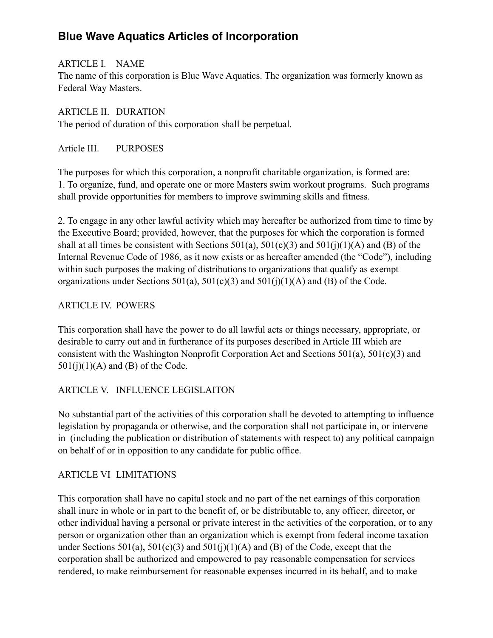## **Blue Wave Aquatics Articles of Incorporation**

ARTICLE I. NAME The name of this corporation is Blue Wave Aquatics. The organization was formerly known as Federal Way Masters.

ARTICLE II. DURATION The period of duration of this corporation shall be perpetual.

Article III. PURPOSES

The purposes for which this corporation, a nonprofit charitable organization, is formed are: 1. To organize, fund, and operate one or more Masters swim workout programs. Such programs shall provide opportunities for members to improve swimming skills and fitness.

2. To engage in any other lawful activity which may hereafter be authorized from time to time by the Executive Board; provided, however, that the purposes for which the corporation is formed shall at all times be consistent with Sections  $501(a)$ ,  $501(c)(3)$  and  $501(i)(1)(A)$  and (B) of the Internal Revenue Code of 1986, as it now exists or as hereafter amended (the "Code"), including within such purposes the making of distributions to organizations that qualify as exempt organizations under Sections  $501(a)$ ,  $501(c)(3)$  and  $501(j)(1)(A)$  and (B) of the Code.

#### ARTICLE IV. POWERS

This corporation shall have the power to do all lawful acts or things necessary, appropriate, or desirable to carry out and in furtherance of its purposes described in Article III which are consistent with the Washington Nonprofit Corporation Act and Sections 501(a), 501(c)(3) and  $501(j)(1)(A)$  and (B) of the Code.

## ARTICLE V. INFLUENCE LEGISLAITON

No substantial part of the activities of this corporation shall be devoted to attempting to influence legislation by propaganda or otherwise, and the corporation shall not participate in, or intervene in (including the publication or distribution of statements with respect to) any political campaign on behalf of or in opposition to any candidate for public office.

## ARTICLE VI LIMITATIONS

This corporation shall have no capital stock and no part of the net earnings of this corporation shall inure in whole or in part to the benefit of, or be distributable to, any officer, director, or other individual having a personal or private interest in the activities of the corporation, or to any person or organization other than an organization which is exempt from federal income taxation under Sections 501(a), 501(c)(3) and 501(j)(1)(A) and (B) of the Code, except that the corporation shall be authorized and empowered to pay reasonable compensation for services rendered, to make reimbursement for reasonable expenses incurred in its behalf, and to make